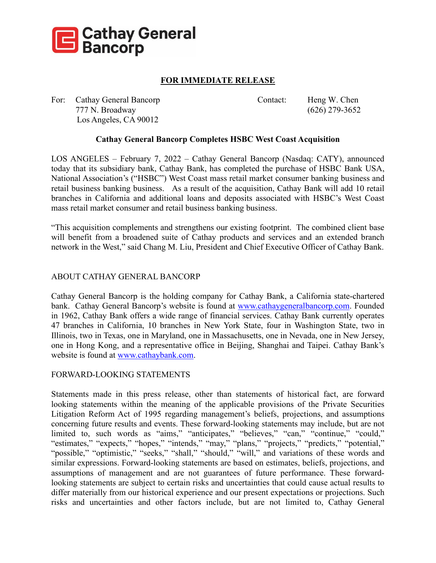

## **FOR IMMEDIATE RELEASE**

For: Cathay General Bancorp Contact: Heng W. Chen 777 N. Broadway (626) 279-3652 Los Angeles, CA 90012

## **Cathay General Bancorp Completes HSBC West Coast Acquisition**

 branches in California and additional loans and deposits associated with HSBC's West Coast LOS ANGELES – February 7, 2022 – Cathay General Bancorp (Nasdaq: CATY), announced today that its subsidiary bank, Cathay Bank, has completed the purchase of HSBC Bank USA, National Association's ("HSBC") West Coast mass retail market consumer banking business and retail business banking business. As a result of the acquisition, Cathay Bank will add 10 retail mass retail market consumer and retail business banking business.

"This acquisition complements and strengthens our existing footprint. The combined client base will benefit from a broadened suite of Cathay products and services and an extended branch network in the West," said Chang M. Liu, President and Chief Executive Officer of Cathay Bank.

## ABOUT CATHAY GENERAL BANCORP

Cathay General Bancorp is the holding company for Cathay Bank, a California state-chartered bank. Cathay General Bancorp's website is found at [www.cathaygeneralbancorp.com.](http://www.cathaygeneralbancorp.com/) Founded in 1962, Cathay Bank offers a wide range of financial services. Cathay Bank currently operates 47 branches in California, 10 branches in New York State, four in Washington State, two in Illinois, two in Texas, one in Maryland, one in Massachusetts, one in Nevada, one in New Jersey, one in Hong Kong, and a representative office in Beijing, Shanghai and Taipei. Cathay Bank's website is found at [www.cathaybank.com.](http://www.cathaybank.com/)

## FORWARD-LOOKING STATEMENTS

Statements made in this press release, other than statements of historical fact, are forward looking statements within the meaning of the applicable provisions of the Private Securities Litigation Reform Act of 1995 regarding management's beliefs, projections, and assumptions concerning future results and events. These forward-looking statements may include, but are not limited to, such words as "aims," "anticipates," "believes," "can," "continue," "could," "estimates," "expects," "hopes," "intends," "may," "plans," "projects," "predicts," "potential," "possible," "optimistic," "seeks," "shall," "should," "will," and variations of these words and similar expressions. Forward-looking statements are based on estimates, beliefs, projections, and assumptions of management and are not guarantees of future performance. These forwardlooking statements are subject to certain risks and uncertainties that could cause actual results to differ materially from our historical experience and our present expectations or projections. Such risks and uncertainties and other factors include, but are not limited to, Cathay General